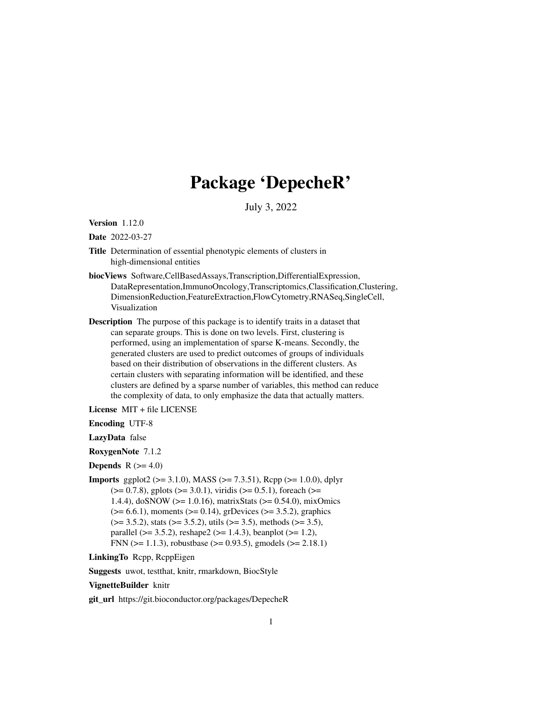# Package 'DepecheR'

July 3, 2022

<span id="page-0-0"></span>Version 1.12.0

Date 2022-03-27

- Title Determination of essential phenotypic elements of clusters in high-dimensional entities
- biocViews Software,CellBasedAssays,Transcription,DifferentialExpression, DataRepresentation,ImmunoOncology,Transcriptomics,Classification,Clustering, DimensionReduction,FeatureExtraction,FlowCytometry,RNASeq,SingleCell, Visualization
- Description The purpose of this package is to identify traits in a dataset that can separate groups. This is done on two levels. First, clustering is performed, using an implementation of sparse K-means. Secondly, the generated clusters are used to predict outcomes of groups of individuals based on their distribution of observations in the different clusters. As certain clusters with separating information will be identified, and these clusters are defined by a sparse number of variables, this method can reduce the complexity of data, to only emphasize the data that actually matters.

License MIT + file LICENSE

Encoding UTF-8

LazyData false

RoxygenNote 7.1.2

**Depends**  $R$  ( $>= 4.0$ )

**Imports** ggplot2 ( $>= 3.1.0$ ), MASS ( $>= 7.3.51$ ), Rcpp ( $>= 1.0.0$ ), dplyr  $(>= 0.7.8)$ , gplots  $(>= 3.0.1)$ , viridis  $(>= 0.5.1)$ , foreach  $(>= 0.7.8)$ 1.4.4), doSNOW (>= 1.0.16), matrixStats (>= 0.54.0), mixOmics  $(>= 6.6.1)$ , moments  $(>= 0.14)$ , grDevices  $(>= 3.5.2)$ , graphics  $(>= 3.5.2)$ , stats  $(>= 3.5.2)$ , utils  $(>= 3.5)$ , methods  $(>= 3.5)$ , parallel ( $>= 3.5.2$ ), reshape2 ( $>= 1.4.3$ ), beanplot ( $>= 1.2$ ), FNN ( $>= 1.1.3$ ), robustbase ( $>= 0.93.5$ ), gmodels ( $>= 2.18.1$ )

LinkingTo Rcpp, RcppEigen

Suggests uwot, testthat, knitr, rmarkdown, BiocStyle

#### VignetteBuilder knitr

git\_url https://git.bioconductor.org/packages/DepecheR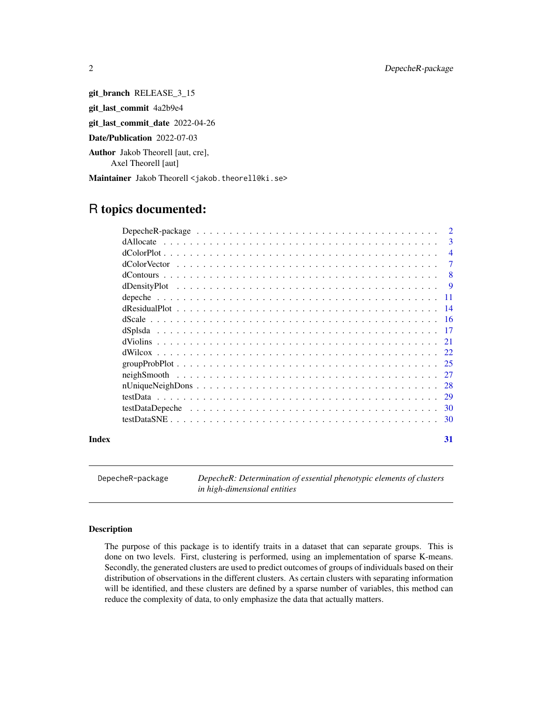git\_branch RELEASE\_3\_15 git\_last\_commit 4a2b9e4 git\_last\_commit\_date 2022-04-26 Date/Publication 2022-07-03 Author Jakob Theorell [aut, cre],

Axel Theorell [aut]

Maintainer Jakob Theorell <jakob.theorell@ki.se>

# R topics documented:

|       |           | 2              |
|-------|-----------|----------------|
|       | dAllocate | 3              |
|       |           | $\overline{4}$ |
|       |           | 7              |
|       |           | 8              |
|       |           | -9             |
|       |           |                |
|       |           |                |
|       |           | -16            |
|       |           | -17            |
|       |           |                |
|       |           |                |
|       |           |                |
|       |           |                |
|       |           | 28             |
|       |           | 29             |
|       |           |                |
|       |           | 30             |
| Index |           | 31             |

DepecheR-package *DepecheR: Determination of essential phenotypic elements of clusters in high-dimensional entities*

### Description

The purpose of this package is to identify traits in a dataset that can separate groups. This is done on two levels. First, clustering is performed, using an implementation of sparse K-means. Secondly, the generated clusters are used to predict outcomes of groups of individuals based on their distribution of observations in the different clusters. As certain clusters with separating information will be identified, and these clusters are defined by a sparse number of variables, this method can reduce the complexity of data, to only emphasize the data that actually matters.

<span id="page-1-0"></span>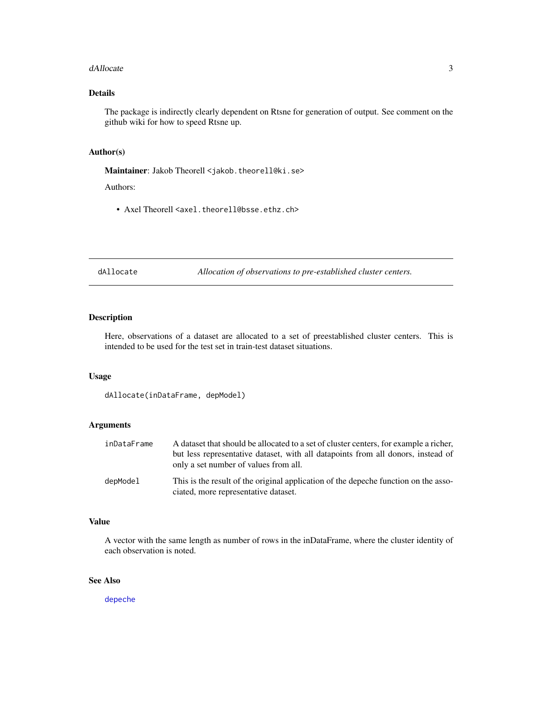#### <span id="page-2-0"></span>dAllocate 3

# Details

The package is indirectly clearly dependent on Rtsne for generation of output. See comment on the github wiki for how to speed Rtsne up.

# Author(s)

Maintainer: Jakob Theorell <jakob.theorell@ki.se>

#### Authors:

• Axel Theorell <axel.theorell@bsse.ethz.ch>

dAllocate *Allocation of observations to pre-established cluster centers.*

# Description

Here, observations of a dataset are allocated to a set of preestablished cluster centers. This is intended to be used for the test set in train-test dataset situations.

#### Usage

```
dAllocate(inDataFrame, depModel)
```
# Arguments

| inDataFrame | A dataset that should be allocated to a set of cluster centers, for example a richer,<br>but less representative dataset, with all datapoints from all donors, instead of<br>only a set number of values from all. |
|-------------|--------------------------------------------------------------------------------------------------------------------------------------------------------------------------------------------------------------------|
| depModel    | This is the result of the original application of the depeche function on the asso-<br>ciated, more representative dataset.                                                                                        |

# Value

A vector with the same length as number of rows in the inDataFrame, where the cluster identity of each observation is noted.

# See Also

[depeche](#page-10-1)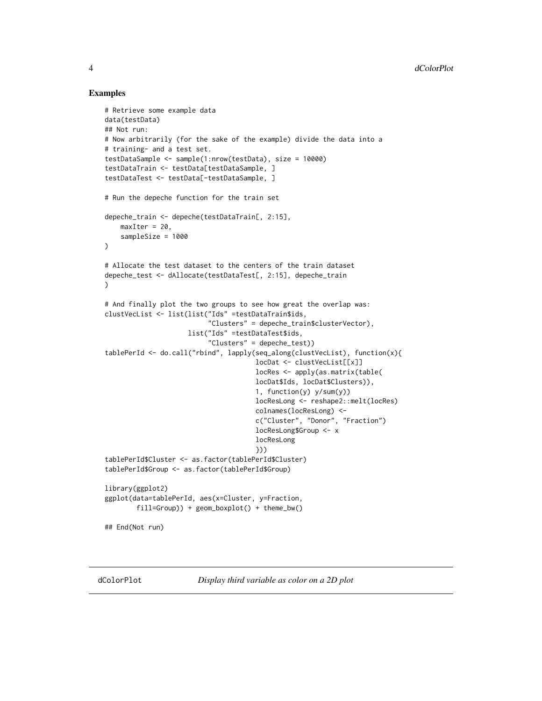# Examples

```
# Retrieve some example data
data(testData)
## Not run:
# Now arbitrarily (for the sake of the example) divide the data into a
# training- and a test set.
testDataSample <- sample(1:nrow(testData), size = 10000)
testDataTrain <- testData[testDataSample, ]
testDataTest <- testData[-testDataSample, ]
# Run the depeche function for the train set
depeche_train <- depeche(testDataTrain[, 2:15],
    maxIter = 20,
    sampleSize = 1000
\lambda# Allocate the test dataset to the centers of the train dataset
depeche_test <- dAllocate(testDataTest[, 2:15], depeche_train
)
# And finally plot the two groups to see how great the overlap was:
clustVecList <- list(list("Ids" =testDataTrain$ids,
                          "Clusters" = depeche_train$clusterVector),
                     list("Ids" =testDataTest$ids,
                          "Clusters" = depeche_test))
tablePerId <- do.call("rbind", lapply(seq_along(clustVecList), function(x){
                                      locDat <- clustVecList[[x]]
                                      locRes <- apply(as.matrix(table(
                                      locDat$Ids, locDat$Clusters)),
                                      1, function(y) y/sum(y))
                                      locResLong <- reshape2::melt(locRes)
                                      colnames(locResLong) <-
                                      c("Cluster", "Donor", "Fraction")
                                      locResLong$Group <- x
                                      locResLong
                                      }))
tablePerId$Cluster <- as.factor(tablePerId$Cluster)
tablePerId$Group <- as.factor(tablePerId$Group)
library(ggplot2)
ggplot(data=tablePerId, aes(x=Cluster, y=Fraction,
        fill=Group)) + geom_boxplot() + theme_bw()
## End(Not run)
```
<span id="page-3-1"></span>dColorPlot *Display third variable as color on a 2D plot*

<span id="page-3-0"></span>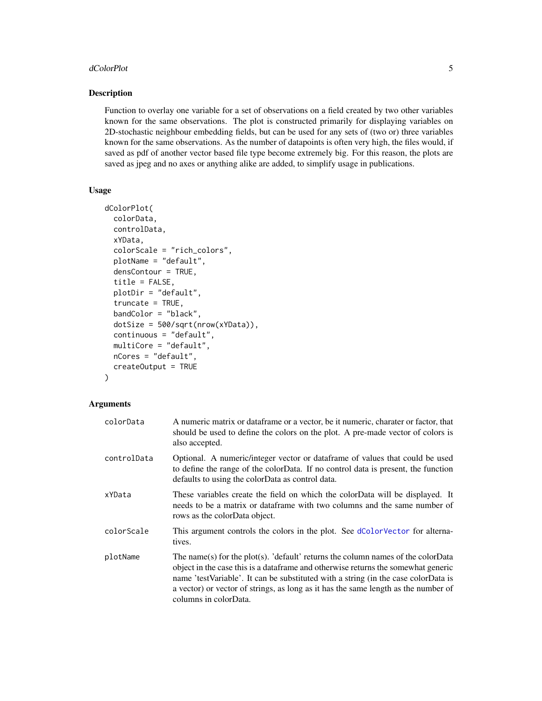#### <span id="page-4-0"></span>dColorPlot 5

# Description

Function to overlay one variable for a set of observations on a field created by two other variables known for the same observations. The plot is constructed primarily for displaying variables on 2D-stochastic neighbour embedding fields, but can be used for any sets of (two or) three variables known for the same observations. As the number of datapoints is often very high, the files would, if saved as pdf of another vector based file type become extremely big. For this reason, the plots are saved as jpeg and no axes or anything alike are added, to simplify usage in publications.

# Usage

```
dColorPlot(
  colorData,
  controlData,
 xYData,
  colorScale = "rich_colors",
 plotName = "default",
  densContour = TRUE,
  title = FALSE,
 plotDir = "default",
  truncate = TRUE,
 bandColor = "black",
 dotSize = 500/sqrt(nrow(xYData)),
 continuous = "default",
 multiCore = "default",
 nCores = "default",
  createOutput = TRUE
)
```

| colorData   | A numeric matrix or data frame or a vector, be it numeric, charater or factor, that<br>should be used to define the colors on the plot. A pre-made vector of colors is<br>also accepted.                                                                                                                                                                                    |
|-------------|-----------------------------------------------------------------------------------------------------------------------------------------------------------------------------------------------------------------------------------------------------------------------------------------------------------------------------------------------------------------------------|
| controlData | Optional. A numeric/integer vector or dataframe of values that could be used<br>to define the range of the colorData. If no control data is present, the function<br>defaults to using the colorData as control data.                                                                                                                                                       |
| xYData      | These variables create the field on which the colorData will be displayed. It<br>needs to be a matrix or dataframe with two columns and the same number of<br>rows as the colorData object.                                                                                                                                                                                 |
| colorScale  | This argument controls the colors in the plot. See dColorVector for alterna-<br>tives.                                                                                                                                                                                                                                                                                      |
| plotName    | The name(s) for the plot(s). 'default' returns the column names of the colorData<br>object in the case this is a data frame and otherwise returns the somewhat generic<br>name 'testVariable'. It can be substituted with a string (in the case colorData is<br>a vector) or vector of strings, as long as it has the same length as the number of<br>columns in colorData. |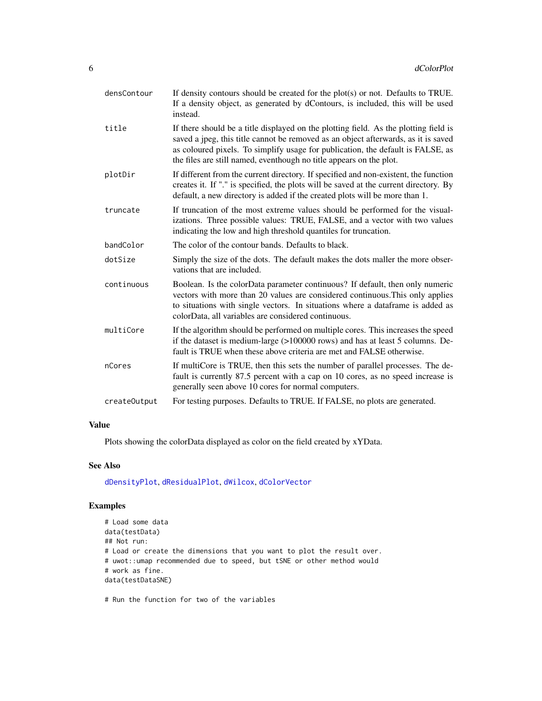<span id="page-5-0"></span>

| densContour  | If density contours should be created for the $plot(s)$ or not. Defaults to TRUE.<br>If a density object, as generated by dContours, is included, this will be used<br>instead.                                                                                                                                                      |
|--------------|--------------------------------------------------------------------------------------------------------------------------------------------------------------------------------------------------------------------------------------------------------------------------------------------------------------------------------------|
| title        | If there should be a title displayed on the plotting field. As the plotting field is<br>saved a jpeg, this title cannot be removed as an object afterwards, as it is saved<br>as coloured pixels. To simplify usage for publication, the default is FALSE, as<br>the files are still named, eventhough no title appears on the plot. |
| plotDir      | If different from the current directory. If specified and non-existent, the function<br>creates it. If "." is specified, the plots will be saved at the current directory. By<br>default, a new directory is added if the created plots will be more than 1.                                                                         |
| truncate     | If truncation of the most extreme values should be performed for the visual-<br>izations. Three possible values: TRUE, FALSE, and a vector with two values<br>indicating the low and high threshold quantiles for truncation.                                                                                                        |
| bandColor    | The color of the contour bands. Defaults to black.                                                                                                                                                                                                                                                                                   |
| dotSize      | Simply the size of the dots. The default makes the dots maller the more obser-<br>vations that are included.                                                                                                                                                                                                                         |
| continuous   | Boolean. Is the colorData parameter continuous? If default, then only numeric<br>vectors with more than 20 values are considered continuous. This only applies<br>to situations with single vectors. In situations where a dataframe is added as<br>colorData, all variables are considered continuous.                              |
| multiCore    | If the algorithm should be performed on multiple cores. This increases the speed<br>if the dataset is medium-large (>100000 rows) and has at least 5 columns. De-<br>fault is TRUE when these above criteria are met and FALSE otherwise.                                                                                            |
| nCores       | If multiCore is TRUE, then this sets the number of parallel processes. The de-<br>fault is currently 87.5 percent with a cap on 10 cores, as no speed increase is<br>generally seen above 10 cores for normal computers.                                                                                                             |
| createOutput | For testing purposes. Defaults to TRUE. If FALSE, no plots are generated.                                                                                                                                                                                                                                                            |

Plots showing the colorData displayed as color on the field created by xYData.

# See Also

[dDensityPlot](#page-8-1), [dResidualPlot](#page-13-1), [dWilcox](#page-21-1), [dColorVector](#page-6-1)

# Examples

```
# Load some data
data(testData)
## Not run:
# Load or create the dimensions that you want to plot the result over.
# uwot::umap recommended due to speed, but tSNE or other method would
# work as fine.
data(testDataSNE)
```
# Run the function for two of the variables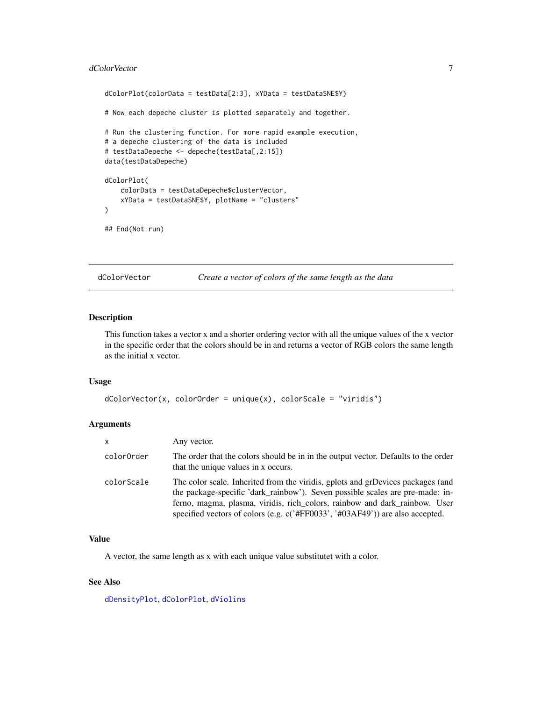#### <span id="page-6-0"></span>dColorVector 7 and 2008 and 2008 and 2008 and 2008 and 2008 and 2008 and 2008 and 2008 and 2008 and 2008 and 20

```
dColorPlot(colorData = testData[2:3], xYData = testDataSNE$Y)
# Now each depeche cluster is plotted separately and together.
# Run the clustering function. For more rapid example execution,
# a depeche clustering of the data is included
# testDataDepeche <- depeche(testData[,2:15])
data(testDataDepeche)
dColorPlot(
    colorData = testDataDepeche$clusterVector,
   xYData = testDataSNE$Y, plotName = "clusters"
)
## End(Not run)
```
<span id="page-6-1"></span>dColorVector *Create a vector of colors of the same length as the data*

#### Description

This function takes a vector x and a shorter ordering vector with all the unique values of the x vector in the specific order that the colors should be in and returns a vector of RGB colors the same length as the initial x vector.

# Usage

```
dColorVector(x, colorOrder = unique(x), colorScale = "viridis")
```
# Arguments

| x          | Any vector.                                                                                                                                                                                                                                                                                                                     |
|------------|---------------------------------------------------------------------------------------------------------------------------------------------------------------------------------------------------------------------------------------------------------------------------------------------------------------------------------|
| colorOrder | The order that the colors should be in in the output vector. Defaults to the order<br>that the unique values in x occurs.                                                                                                                                                                                                       |
| colorScale | The color scale. Inherited from the viridis, gplots and grDevices packages (and<br>the package-specific 'dark_rainbow'). Seven possible scales are pre-made: in-<br>ferno, magma, plasma, viridis, rich_colors, rainbow and dark_rainbow. User<br>specified vectors of colors (e.g. c('#FF0033', '#03AF49')) are also accepted. |

#### Value

A vector, the same length as x with each unique value substitutet with a color.

### See Also

[dDensityPlot](#page-8-1), [dColorPlot](#page-3-1), [dViolins](#page-20-1)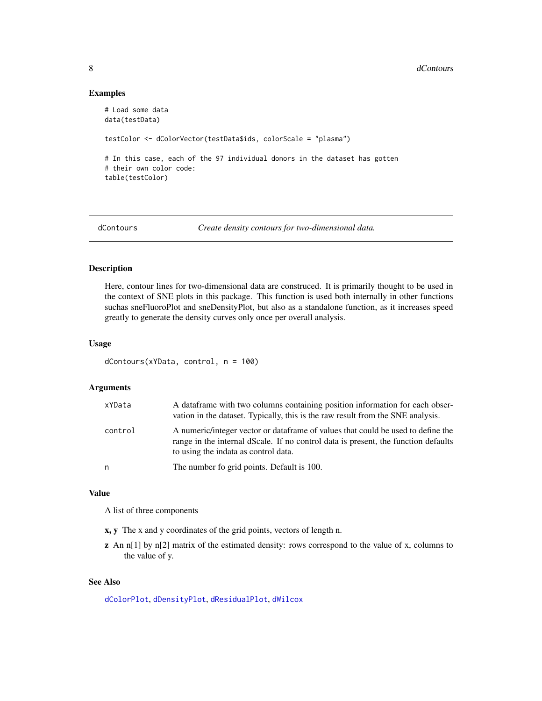#### Examples

```
# Load some data
data(testData)
testColor <- dColorVector(testData$ids, colorScale = "plasma")
# In this case, each of the 97 individual donors in the dataset has gotten
# their own color code:
table(testColor)
```
dContours *Create density contours for two-dimensional data.*

# Description

Here, contour lines for two-dimensional data are construced. It is primarily thought to be used in the context of SNE plots in this package. This function is used both internally in other functions suchas sneFluoroPlot and sneDensityPlot, but also as a standalone function, as it increases speed greatly to generate the density curves only once per overall analysis.

#### Usage

```
dContours(xYData, control, n = 100)
```
#### Arguments

| xYData  | A data frame with two columns containing position information for each obser-<br>vation in the dataset. Typically, this is the raw result from the SNE analysis.                                               |
|---------|----------------------------------------------------------------------------------------------------------------------------------------------------------------------------------------------------------------|
| control | A numeric/integer vector or dataframe of values that could be used to define the<br>range in the internal dScale. If no control data is present, the function defaults<br>to using the indata as control data. |
| n       | The number fo grid points. Default is 100.                                                                                                                                                                     |

#### Value

A list of three components

x, y The x and y coordinates of the grid points, vectors of length n.

z An n[1] by n[2] matrix of the estimated density: rows correspond to the value of x, columns to the value of y.

### See Also

[dColorPlot](#page-3-1), [dDensityPlot](#page-8-1), [dResidualPlot](#page-13-1), [dWilcox](#page-21-1)

<span id="page-7-0"></span>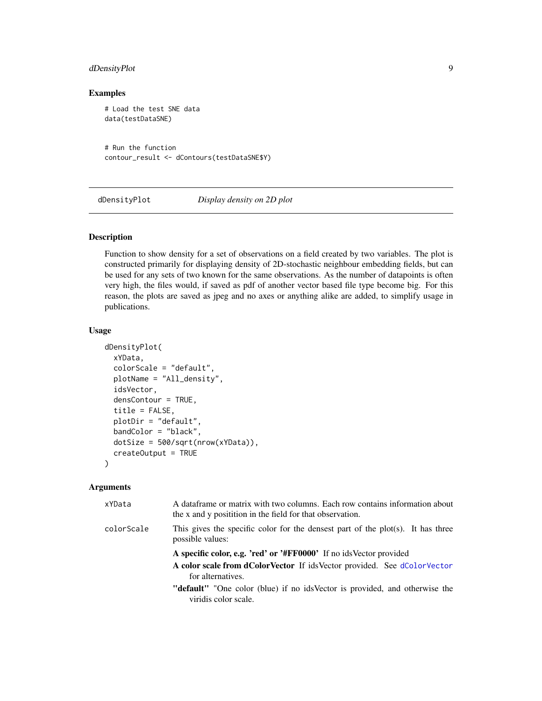# <span id="page-8-0"></span>dDensityPlot 9

# Examples

```
# Load the test SNE data
data(testDataSNE)
```
# Run the function contour\_result <- dContours(testDataSNE\$Y)

<span id="page-8-1"></span>dDensityPlot *Display density on 2D plot*

# Description

Function to show density for a set of observations on a field created by two variables. The plot is constructed primarily for displaying density of 2D-stochastic neighbour embedding fields, but can be used for any sets of two known for the same observations. As the number of datapoints is often very high, the files would, if saved as pdf of another vector based file type become big. For this reason, the plots are saved as jpeg and no axes or anything alike are added, to simplify usage in publications.

#### Usage

```
dDensityPlot(
  xYData,
  colorScale = "default",
  plotName = "All_density",
  idsVector,
  densContour = TRUE,
  title = FALSE,
  plotDir = "default",
  bandColor = "black",
  dotSize = 500/sqrt(nrow(xYData)),
  createOutput = TRUE
)
```

| xYData     | A dataframe or matrix with two columns. Each row contains information about<br>the x and y positition in the field for that observation. |
|------------|------------------------------------------------------------------------------------------------------------------------------------------|
| colorScale | This gives the specific color for the densest part of the plot(s). It has three<br>possible values:                                      |
|            | A specific color, e.g. 'red' or '#FF0000' If no ids Vector provided                                                                      |
|            | A color scale from dColorVector If idsVector provided. See dColorVector<br>for alternatives.                                             |
|            | "default" "One color (blue) if no ids Vector is provided, and otherwise the<br>viridis color scale.                                      |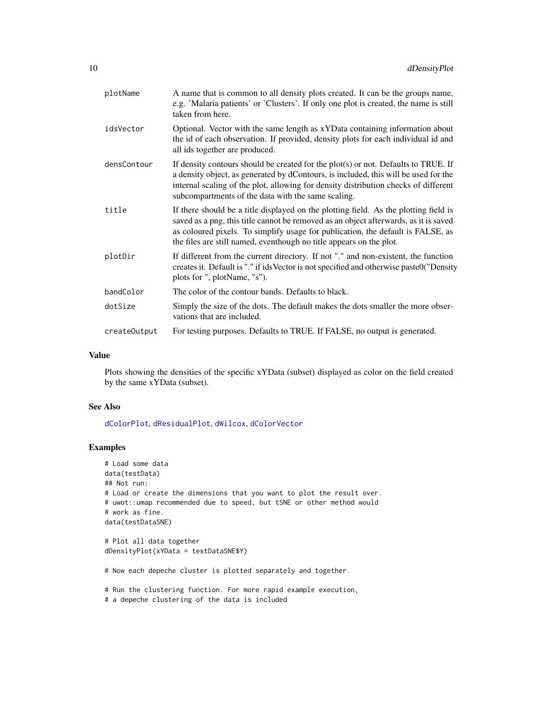<span id="page-9-0"></span>

| plotName     | A name that is common to all density plots created. It can be the groups name,<br>e.g. 'Malaria patients' or 'Clusters'. If only one plot is created, the name is still<br>taken from here.                                                                                                                                            |
|--------------|----------------------------------------------------------------------------------------------------------------------------------------------------------------------------------------------------------------------------------------------------------------------------------------------------------------------------------------|
| idsVector    | Optional. Vector with the same length as xYData containing information about<br>the id of each observation. If provided, density plots for each individual id and<br>all ids together are produced.                                                                                                                                    |
| densContour  | If density contours should be created for the plot(s) or not. Defaults to TRUE. If<br>a density object, as generated by dContours, is included, this will be used for the<br>internal scaling of the plot, allowing for density distribution checks of different<br>subcompartments of the data with the same scaling.                 |
| title        | If there should be a title displayed on the plotting field. As the plotting field is<br>saved as a png, this title cannot be removed as an object afterwards, as it is saved<br>as coloured pixels. To simplify usage for publication, the default is FALSE, as<br>the files are still named, eventhough no title appears on the plot. |
| plotDir      | If different from the current directory. If not "." and non-existent, the function<br>creates it. Default is "." if ids Vector is not specified and otherwise paste0("Density<br>plots for ", plotName, "s").                                                                                                                          |
| bandColor    | The color of the contour bands. Defaults to black.                                                                                                                                                                                                                                                                                     |
| dotSize      | Simply the size of the dots. The default makes the dots smaller the more obser-<br>vations that are included.                                                                                                                                                                                                                          |
| createOutput | For testing purposes. Defaults to TRUE. If FALSE, no output is generated.                                                                                                                                                                                                                                                              |

Plots showing the densities of the specific xYData (subset) displayed as color on the field created by the same xYData (subset).

### See Also

[dColorPlot](#page-3-1), [dResidualPlot](#page-13-1), [dWilcox](#page-21-1), [dColorVector](#page-6-1)

# Examples

```
# Load some data
data(testData)
## Not run:
# Load or create the dimensions that you want to plot the result over.
# uwot::umap recommended due to speed, but tSNE or other method would
# work as fine.
data(testDataSNE)
# Plot all data together
dDensityPlot(xYData = testDataSNE$Y)
# Now each depeche cluster is plotted separately and together.
```
# Run the clustering function. For more rapid example execution,

```
# a depeche clustering of the data is included
```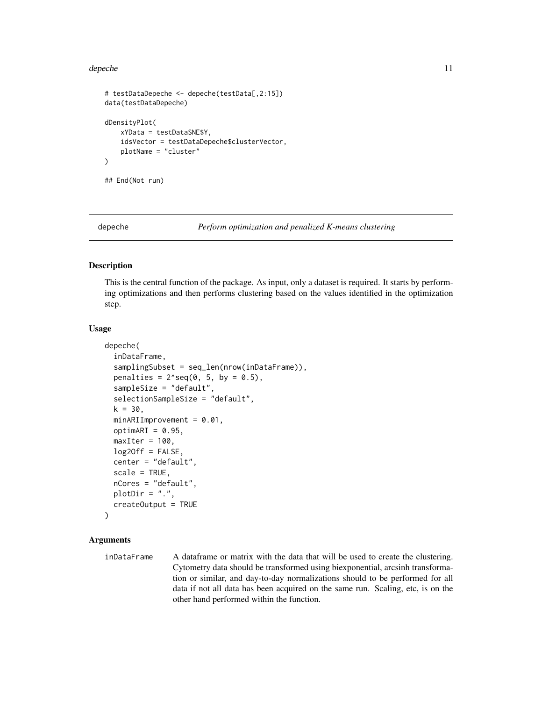#### <span id="page-10-0"></span>depeche to the state of the state of the state of the state of the state of the state of the state of the state of the state of the state of the state of the state of the state of the state of the state of the state of the

```
# testDataDepeche <- depeche(testData[,2:15])
data(testDataDepeche)
dDensityPlot(
   xYData = testDataSNE$Y,
    idsVector = testDataDepeche$clusterVector,
   plotName = "cluster"
)
## End(Not run)
```
<span id="page-10-1"></span>

```
depeche Perform optimization and penalized K-means clustering
```
#### Description

This is the central function of the package. As input, only a dataset is required. It starts by performing optimizations and then performs clustering based on the values identified in the optimization step.

#### Usage

```
depeche(
  inDataFrame,
  samplingSubset = seq_len(nrow(inDataFrame)),
  penalties = 2^sseq(0, 5, by = 0.5),
  sampleSize = "default",
  selectionSampleSize = "default",
  k = 30,minARIImprovement = 0.01,
  optimARI = 0.95,
 maxIter = 100,log20ff = FALSE,center = "default",
  scale = TRUE,
  nCores = "default",
 plotDir = "."createOutput = TRUE
)
```
# Arguments

inDataFrame A dataframe or matrix with the data that will be used to create the clustering. Cytometry data should be transformed using biexponential, arcsinh transformation or similar, and day-to-day normalizations should to be performed for all data if not all data has been acquired on the same run. Scaling, etc, is on the other hand performed within the function.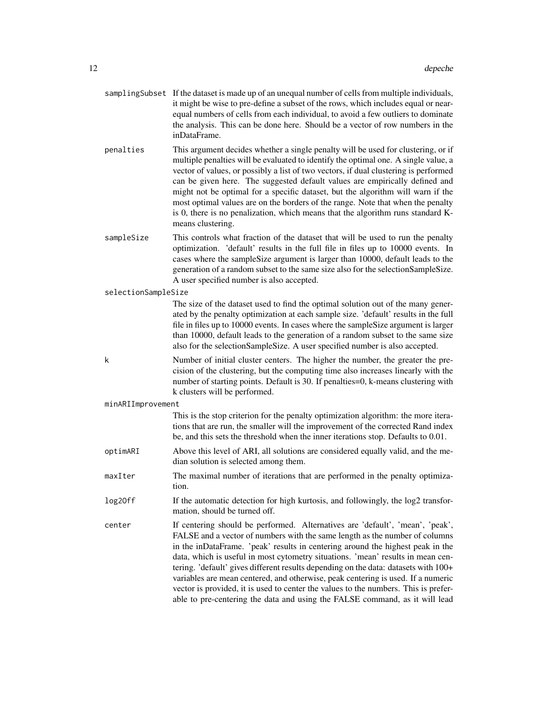|                     | samplingSubset If the dataset is made up of an unequal number of cells from multiple individuals,<br>it might be wise to pre-define a subset of the rows, which includes equal or near-<br>equal numbers of cells from each individual, to avoid a few outliers to dominate<br>the analysis. This can be done here. Should be a vector of row numbers in the<br>inDataFrame.                                                                                                                                                                                                                                                                                                       |
|---------------------|------------------------------------------------------------------------------------------------------------------------------------------------------------------------------------------------------------------------------------------------------------------------------------------------------------------------------------------------------------------------------------------------------------------------------------------------------------------------------------------------------------------------------------------------------------------------------------------------------------------------------------------------------------------------------------|
| penalties           | This argument decides whether a single penalty will be used for clustering, or if<br>multiple penalties will be evaluated to identify the optimal one. A single value, a<br>vector of values, or possibly a list of two vectors, if dual clustering is performed<br>can be given here. The suggested default values are empirically defined and<br>might not be optimal for a specific dataset, but the algorithm will warn if the<br>most optimal values are on the borders of the range. Note that when the penalty<br>is 0, there is no penalization, which means that the algorithm runs standard K-<br>means clustering.                                                      |
| sampleSize          | This controls what fraction of the dataset that will be used to run the penalty<br>optimization. 'default' results in the full file in files up to 10000 events. In<br>cases where the sampleSize argument is larger than 10000, default leads to the<br>generation of a random subset to the same size also for the selectionSampleSize.<br>A user specified number is also accepted.                                                                                                                                                                                                                                                                                             |
| selectionSampleSize |                                                                                                                                                                                                                                                                                                                                                                                                                                                                                                                                                                                                                                                                                    |
|                     | The size of the dataset used to find the optimal solution out of the many gener-<br>ated by the penalty optimization at each sample size. 'default' results in the full<br>file in files up to 10000 events. In cases where the sampleSize argument is larger<br>than 10000, default leads to the generation of a random subset to the same size<br>also for the selectionSampleSize. A user specified number is also accepted.                                                                                                                                                                                                                                                    |
| k                   | Number of initial cluster centers. The higher the number, the greater the pre-<br>cision of the clustering, but the computing time also increases linearly with the<br>number of starting points. Default is 30. If penalties=0, k-means clustering with<br>k clusters will be performed.                                                                                                                                                                                                                                                                                                                                                                                          |
| minARIImprovement   |                                                                                                                                                                                                                                                                                                                                                                                                                                                                                                                                                                                                                                                                                    |
|                     | This is the stop criterion for the penalty optimization algorithm: the more itera-<br>tions that are run, the smaller will the improvement of the corrected Rand index<br>be, and this sets the threshold when the inner iterations stop. Defaults to 0.01.                                                                                                                                                                                                                                                                                                                                                                                                                        |
| optimARI            | Above this level of ARI, all solutions are considered equally valid, and the me-<br>dian solution is selected among them.                                                                                                                                                                                                                                                                                                                                                                                                                                                                                                                                                          |
| maxIter             | The maximal number of iterations that are performed in the penalty optimiza-<br>tion.                                                                                                                                                                                                                                                                                                                                                                                                                                                                                                                                                                                              |
| log20ff             | If the automatic detection for high kurtosis, and followingly, the log2 transfor-<br>mation, should be turned off.                                                                                                                                                                                                                                                                                                                                                                                                                                                                                                                                                                 |
| center              | If centering should be performed. Alternatives are 'default', 'mean', 'peak',<br>FALSE and a vector of numbers with the same length as the number of columns<br>in the inDataFrame. 'peak' results in centering around the highest peak in the<br>data, which is useful in most cytometry situations. 'mean' results in mean cen-<br>tering. 'default' gives different results depending on the data: datasets with 100+<br>variables are mean centered, and otherwise, peak centering is used. If a numeric<br>vector is provided, it is used to center the values to the numbers. This is prefer-<br>able to pre-centering the data and using the FALSE command, as it will lead |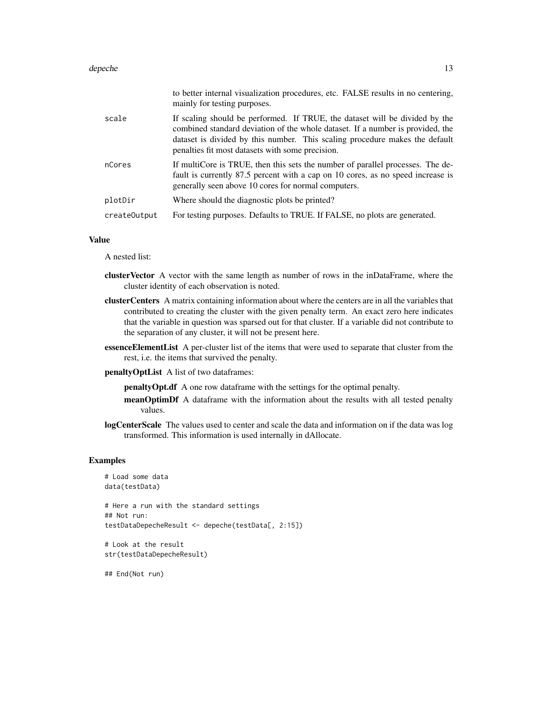#### depeche to the state of the state of the state of the state of the state of the state of the state of the state of the state of the state of the state of the state of the state of the state of the state of the state of the

|              | to better internal visualization procedures, etc. FALSE results in no centering,<br>mainly for testing purposes.                                                                                                                                                                                 |
|--------------|--------------------------------------------------------------------------------------------------------------------------------------------------------------------------------------------------------------------------------------------------------------------------------------------------|
| scale        | If scaling should be performed. If TRUE, the dataset will be divided by the<br>combined standard deviation of the whole dataset. If a number is provided, the<br>dataset is divided by this number. This scaling procedure makes the default<br>penalties fit most datasets with some precision. |
| nCores       | If multiCore is TRUE, then this sets the number of parallel processes. The de-<br>fault is currently 87.5 percent with a cap on 10 cores, as no speed increase is<br>generally seen above 10 cores for normal computers.                                                                         |
| plotDir      | Where should the diagnostic plots be printed?                                                                                                                                                                                                                                                    |
| createOutput | For testing purposes. Defaults to TRUE. If FALSE, no plots are generated.                                                                                                                                                                                                                        |

#### Value

A nested list:

- clusterVector A vector with the same length as number of rows in the inDataFrame, where the cluster identity of each observation is noted.
- clusterCenters A matrix containing information about where the centers are in all the variables that contributed to creating the cluster with the given penalty term. An exact zero here indicates that the variable in question was sparsed out for that cluster. If a variable did not contribute to the separation of any cluster, it will not be present here.
- essenceElementList A per-cluster list of the items that were used to separate that cluster from the rest, i.e. the items that survived the penalty.
- penaltyOptList A list of two dataframes:

penaltyOpt.df A one row dataframe with the settings for the optimal penalty.

- meanOptimDf A dataframe with the information about the results with all tested penalty values.
- logCenterScale The values used to center and scale the data and information on if the data was log transformed. This information is used internally in dAllocate.

#### Examples

```
# Load some data
data(testData)
# Here a run with the standard settings
## Not run:
testDataDepecheResult <- depeche(testData[, 2:15])
# Look at the result
str(testDataDepecheResult)
```
## End(Not run)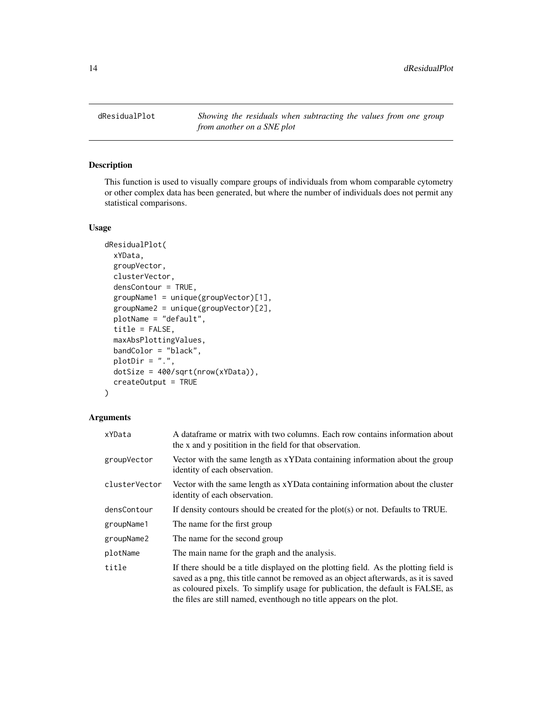<span id="page-13-1"></span><span id="page-13-0"></span>dResidualPlot *Showing the residuals when subtracting the values from one group from another on a SNE plot*

# Description

This function is used to visually compare groups of individuals from whom comparable cytometry or other complex data has been generated, but where the number of individuals does not permit any statistical comparisons.

#### Usage

```
dResidualPlot(
 xYData,
  groupVector,
 clusterVector,
  densContour = TRUE,
  groupName1 = unique(groupVector)[1],
  groupName2 = unique(groupVector)[2],
 plotName = "default",
  title = FALSE,
 maxAbsPlottingValues,
 bandColor = "black",
 plotDir = "."dotSize = 400/sqrt(nrow(xYData)),
  createOutput = TRUE
)
```

| xYData        | A data frame or matrix with two columns. Each row contains information about<br>the x and y positition in the field for that observation.                                                                                                                                                                                              |
|---------------|----------------------------------------------------------------------------------------------------------------------------------------------------------------------------------------------------------------------------------------------------------------------------------------------------------------------------------------|
| groupVector   | Vector with the same length as xYData containing information about the group<br>identity of each observation.                                                                                                                                                                                                                          |
| clusterVector | Vector with the same length as xYData containing information about the cluster<br>identity of each observation.                                                                                                                                                                                                                        |
| densContour   | If density contours should be created for the $plot(s)$ or not. Defaults to TRUE.                                                                                                                                                                                                                                                      |
| groupName1    | The name for the first group                                                                                                                                                                                                                                                                                                           |
| groupName2    | The name for the second group                                                                                                                                                                                                                                                                                                          |
| plotName      | The main name for the graph and the analysis.                                                                                                                                                                                                                                                                                          |
| title         | If there should be a title displayed on the plotting field. As the plotting field is<br>saved as a png, this title cannot be removed as an object afterwards, as it is saved<br>as coloured pixels. To simplify usage for publication, the default is FALSE, as<br>the files are still named, eventhough no title appears on the plot. |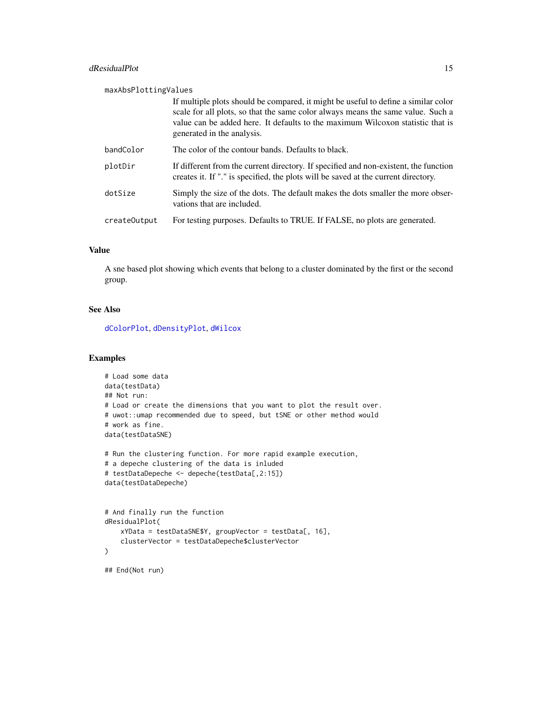<span id="page-14-0"></span>

| maxAbsPlottingValues |                                                                                                                                                                                                                                                                                       |  |
|----------------------|---------------------------------------------------------------------------------------------------------------------------------------------------------------------------------------------------------------------------------------------------------------------------------------|--|
|                      | If multiple plots should be compared, it might be useful to define a similar color<br>scale for all plots, so that the same color always means the same value. Such a<br>value can be added here. It defaults to the maximum Wilcoxon statistic that is<br>generated in the analysis. |  |
| bandColor            | The color of the contour bands. Defaults to black.                                                                                                                                                                                                                                    |  |
| plotDir              | If different from the current directory. If specified and non-existent, the function<br>creates it. If "." is specified, the plots will be saved at the current directory.                                                                                                            |  |
| dotSize              | Simply the size of the dots. The default makes the dots smaller the more obser-<br>vations that are included.                                                                                                                                                                         |  |
| createOutput         | For testing purposes. Defaults to TRUE. If FALSE, no plots are generated.                                                                                                                                                                                                             |  |

A sne based plot showing which events that belong to a cluster dominated by the first or the second group.

### See Also

[dColorPlot](#page-3-1), [dDensityPlot](#page-8-1), [dWilcox](#page-21-1)

# Examples

```
# Load some data
data(testData)
## Not run:
# Load or create the dimensions that you want to plot the result over.
# uwot::umap recommended due to speed, but tSNE or other method would
# work as fine.
data(testDataSNE)
# Run the clustering function. For more rapid example execution,
# a depeche clustering of the data is inluded
# testDataDepeche <- depeche(testData[,2:15])
data(testDataDepeche)
# And finally run the function
dResidualPlot(
   xYData = testDataSNE$Y, groupVector = testData[, 16],
    clusterVector = testDataDepeche$clusterVector
)
## End(Not run)
```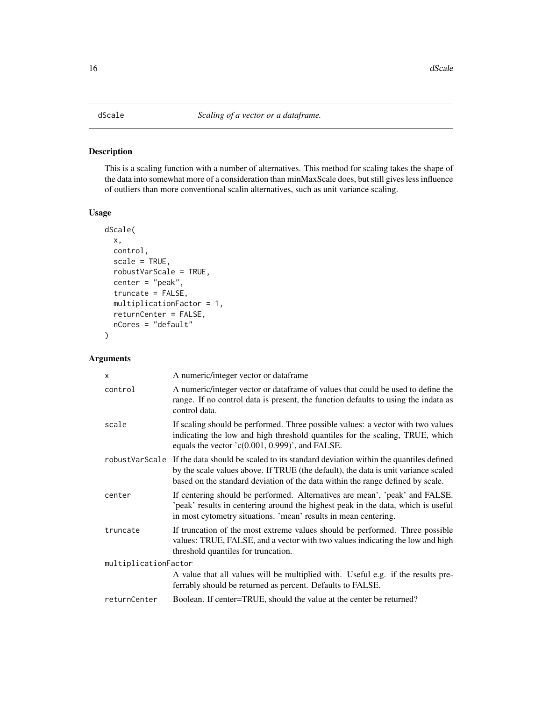# <span id="page-15-0"></span>Description

This is a scaling function with a number of alternatives. This method for scaling takes the shape of the data into somewhat more of a consideration than minMaxScale does, but still gives less influence of outliers than more conventional scalin alternatives, such as unit variance scaling.

# Usage

```
dScale(
  x,
  control,
  scale = TRUE,
  robustVarScale = TRUE,
  center = "peak",
  truncate = FALSE,
  multiplicationFactor = 1,
  returnCenter = FALSE,
  nCores = "default"
)
```

| $\times$             | A numeric/integer vector or dataframe                                                                                                                                                                                                                                      |
|----------------------|----------------------------------------------------------------------------------------------------------------------------------------------------------------------------------------------------------------------------------------------------------------------------|
| control              | A numeric/integer vector or dataframe of values that could be used to define the<br>range. If no control data is present, the function defaults to using the indata as<br>control data.                                                                                    |
| scale                | If scaling should be performed. Three possible values: a vector with two values<br>indicating the low and high threshold quantiles for the scaling, TRUE, which<br>equals the vector $(c(0.001, 0.999)$ , and FALSE.                                                       |
|                      | robustVarScale If the data should be scaled to its standard deviation within the quantiles defined<br>by the scale values above. If TRUE (the default), the data is unit variance scaled<br>based on the standard deviation of the data within the range defined by scale. |
| center               | If centering should be performed. Alternatives are mean', 'peak' and FALSE.<br>'peak' results in centering around the highest peak in the data, which is useful<br>in most cytometry situations. 'mean' results in mean centering.                                         |
| truncate             | If truncation of the most extreme values should be performed. Three possible<br>values: TRUE, FALSE, and a vector with two values indicating the low and high<br>threshold quantiles for truncation.                                                                       |
| multiplicationFactor |                                                                                                                                                                                                                                                                            |
|                      | A value that all values will be multiplied with. Useful e.g. if the results pre-<br>ferrably should be returned as percent. Defaults to FALSE.                                                                                                                             |
| returnCenter         | Boolean. If center=TRUE, should the value at the center be returned?                                                                                                                                                                                                       |
|                      |                                                                                                                                                                                                                                                                            |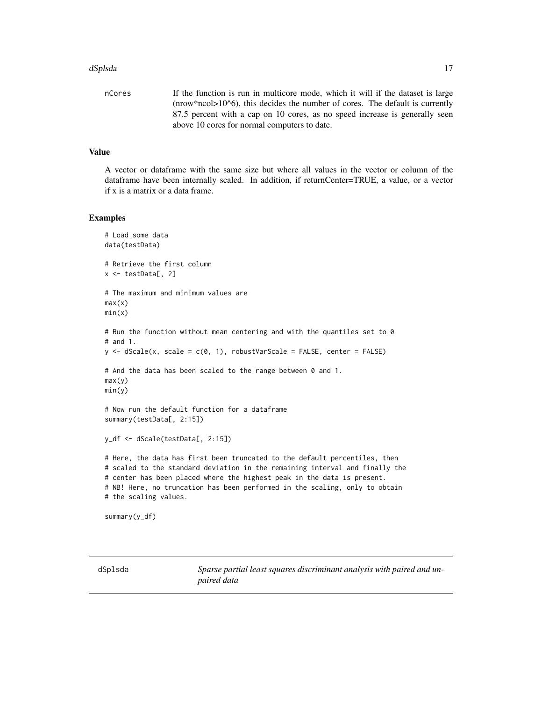#### <span id="page-16-0"></span>dSplsda 17

nCores If the function is run in multicore mode, which it will if the dataset is large (nrow\*ncol>10^6), this decides the number of cores. The default is currently 87.5 percent with a cap on 10 cores, as no speed increase is generally seen above 10 cores for normal computers to date.

## Value

A vector or dataframe with the same size but where all values in the vector or column of the dataframe have been internally scaled. In addition, if returnCenter=TRUE, a value, or a vector if x is a matrix or a data frame.

#### Examples

```
# Load some data
data(testData)
# Retrieve the first column
x <- testData[, 2]
# The maximum and minimum values are
max(x)min(x)# Run the function without mean centering and with the quantiles set to 0
# and 1.
y \leq -dScale(x, scale = c(0, 1), robustVarScale = FALSE, center = FALSE)# And the data has been scaled to the range between 0 and 1.
max(y)
min(y)
# Now run the default function for a dataframe
summary(testData[, 2:15])
y_df <- dScale(testData[, 2:15])
# Here, the data has first been truncated to the default percentiles, then
# scaled to the standard deviation in the remaining interval and finally the
# center has been placed where the highest peak in the data is present.
# NB! Here, no truncation has been performed in the scaling, only to obtain
# the scaling values.
summary(y_df)
```
dSplsda *Sparse partial least squares discriminant analysis with paired and unpaired data*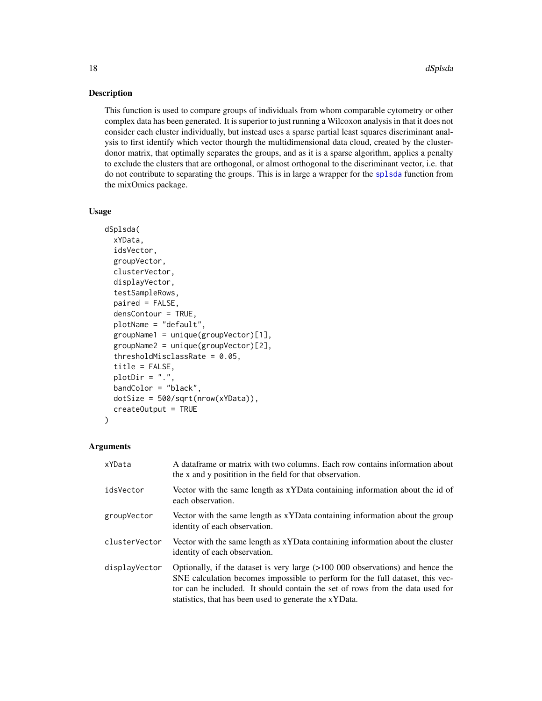#### Description

This function is used to compare groups of individuals from whom comparable cytometry or other complex data has been generated. It is superior to just running a Wilcoxon analysis in that it does not consider each cluster individually, but instead uses a sparse partial least squares discriminant analysis to first identify which vector thourgh the multidimensional data cloud, created by the clusterdonor matrix, that optimally separates the groups, and as it is a sparse algorithm, applies a penalty to exclude the clusters that are orthogonal, or almost orthogonal to the discriminant vector, i.e. that do not contribute to separating the groups. This is in large a wrapper for the [splsda](#page-0-0) function from the mixOmics package.

#### Usage

```
dSplsda(
  xYData,
  idsVector,
  groupVector,
  clusterVector,
  displayVector,
  testSampleRows,
  paired = FALSE,
  densContour = TRUE,
  plotName = "default",
  groupName1 = unique(groupVector)[1],
  groupName2 = unique(groupVector)[2],
  thresholdMisclassRate = 0.05,
  title = FALSE,
 plotDir = ".",
  bandColor = "black",
  dotSize = 500/sqrt(nrow(xYData)),
  createOutput = TRUE
)
```

| xYData        | A dataframe or matrix with two columns. Each row contains information about<br>the x and y positition in the field for that observation.                                                                                                                                                                       |
|---------------|----------------------------------------------------------------------------------------------------------------------------------------------------------------------------------------------------------------------------------------------------------------------------------------------------------------|
| idsVector     | Vector with the same length as xYData containing information about the id of<br>each observation.                                                                                                                                                                                                              |
| groupVector   | Vector with the same length as xYData containing information about the group<br>identity of each observation.                                                                                                                                                                                                  |
| clusterVector | Vector with the same length as xYData containing information about the cluster<br>identity of each observation.                                                                                                                                                                                                |
| displayVector | Optionally, if the dataset is very large $(>100 000 0$ observations) and hence the<br>SNE calculation becomes impossible to perform for the full dataset, this vec-<br>tor can be included. It should contain the set of rows from the data used for<br>statistics, that has been used to generate the xYData. |

<span id="page-17-0"></span>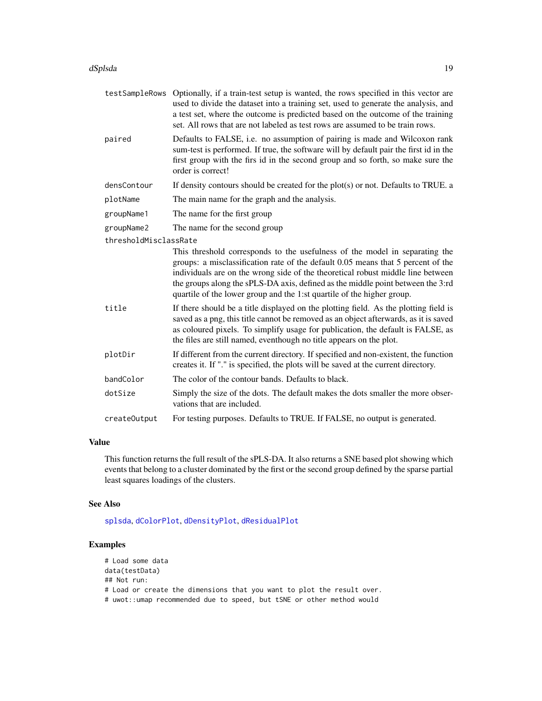#### <span id="page-18-0"></span>dSplsda to the control of the control of the control of the control of the control of the control of the control of the control of the control of the control of the control of the control of the control of the control of t

| testSampleRows        | Optionally, if a train-test setup is wanted, the rows specified in this vector are<br>used to divide the dataset into a training set, used to generate the analysis, and<br>a test set, where the outcome is predicted based on the outcome of the training<br>set. All rows that are not labeled as test rows are assumed to be train rows.                                                                    |
|-----------------------|-----------------------------------------------------------------------------------------------------------------------------------------------------------------------------------------------------------------------------------------------------------------------------------------------------------------------------------------------------------------------------------------------------------------|
| paired                | Defaults to FALSE, i.e. no assumption of pairing is made and Wilcoxon rank<br>sum-test is performed. If true, the software will by default pair the first id in the<br>first group with the firs id in the second group and so forth, so make sure the<br>order is correct!                                                                                                                                     |
| densContour           | If density contours should be created for the $plot(s)$ or not. Defaults to TRUE. a                                                                                                                                                                                                                                                                                                                             |
| plotName              | The main name for the graph and the analysis.                                                                                                                                                                                                                                                                                                                                                                   |
| groupName1            | The name for the first group                                                                                                                                                                                                                                                                                                                                                                                    |
| groupName2            | The name for the second group                                                                                                                                                                                                                                                                                                                                                                                   |
| thresholdMisclassRate |                                                                                                                                                                                                                                                                                                                                                                                                                 |
|                       | This threshold corresponds to the usefulness of the model in separating the<br>groups: a misclassification rate of the default 0.05 means that 5 percent of the<br>individuals are on the wrong side of the theoretical robust middle line between<br>the groups along the sPLS-DA axis, defined as the middle point between the 3:rd<br>quartile of the lower group and the 1:st quartile of the higher group. |
| title                 | If there should be a title displayed on the plotting field. As the plotting field is<br>saved as a png, this title cannot be removed as an object afterwards, as it is saved<br>as coloured pixels. To simplify usage for publication, the default is FALSE, as<br>the files are still named, eventhough no title appears on the plot.                                                                          |
| plotDir               | If different from the current directory. If specified and non-existent, the function<br>creates it. If "." is specified, the plots will be saved at the current directory.                                                                                                                                                                                                                                      |
| bandColor             | The color of the contour bands. Defaults to black.                                                                                                                                                                                                                                                                                                                                                              |
| dotSize               | Simply the size of the dots. The default makes the dots smaller the more obser-<br>vations that are included.                                                                                                                                                                                                                                                                                                   |
| createOutput          | For testing purposes. Defaults to TRUE. If FALSE, no output is generated.                                                                                                                                                                                                                                                                                                                                       |

# Value

This function returns the full result of the sPLS-DA. It also returns a SNE based plot showing which events that belong to a cluster dominated by the first or the second group defined by the sparse partial least squares loadings of the clusters.

# See Also

[splsda](#page-0-0), [dColorPlot](#page-3-1), [dDensityPlot](#page-8-1), [dResidualPlot](#page-13-1)

# Examples

```
# Load some data
data(testData)
## Not run:
# Load or create the dimensions that you want to plot the result over.
# uwot::umap recommended due to speed, but tSNE or other method would
```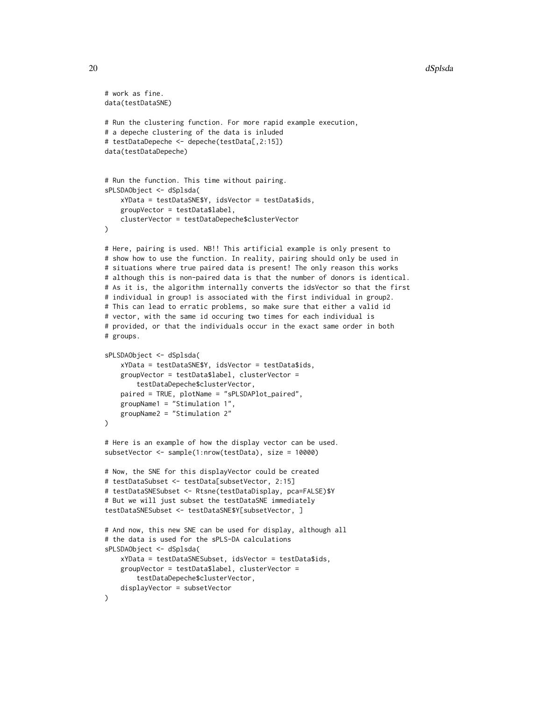```
# work as fine.
data(testDataSNE)
# Run the clustering function. For more rapid example execution,
# a depeche clustering of the data is inluded
# testDataDepeche <- depeche(testData[,2:15])
data(testDataDepeche)
# Run the function. This time without pairing.
sPLSDAObject <- dSplsda(
    xYData = testDataSNE$Y, idsVector = testData$ids,
    groupVector = testData$label,
   clusterVector = testDataDepeche$clusterVector
)
# Here, pairing is used. NB!! This artificial example is only present to
# show how to use the function. In reality, pairing should only be used in
# situations where true paired data is present! The only reason this works
# although this is non-paired data is that the number of donors is identical.
# As it is, the algorithm internally converts the idsVector so that the first
# individual in group1 is associated with the first individual in group2.
# This can lead to erratic problems, so make sure that either a valid id
# vector, with the same id occuring two times for each individual is
# provided, or that the individuals occur in the exact same order in both
# groups.
sPLSDAObject <- dSplsda(
    xYData = testDataSNE$Y, idsVector = testData$ids,
    groupVector = testData$label, clusterVector =
       testDataDepeche$clusterVector,
    paired = TRUE, plotName = "sPLSDAPlot_paired",
    groupName1 = "Stimulation 1",
    groupName2 = "Stimulation 2"
)
# Here is an example of how the display vector can be used.
subsetVector <- sample(1:nrow(testData), size = 10000)
# Now, the SNE for this displayVector could be created
# testDataSubset <- testData[subsetVector, 2:15]
# testDataSNESubset <- Rtsne(testDataDisplay, pca=FALSE)$Y
# But we will just subset the testDataSNE immediately
testDataSNESubset <- testDataSNE$Y[subsetVector, ]
# And now, this new SNE can be used for display, although all
# the data is used for the sPLS-DA calculations
sPLSDAObject <- dSplsda(
    xYData = testDataSNESubset, idsVector = testData$ids,
    groupVector = testData$label, clusterVector =
        testDataDepeche$clusterVector,
    displayVector = subsetVector
)
```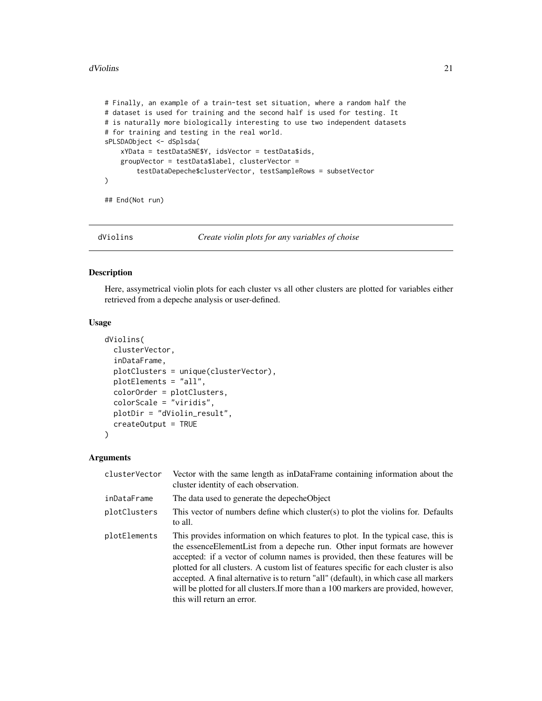#### <span id="page-20-0"></span>dViolins 21

```
# Finally, an example of a train-test set situation, where a random half the
# dataset is used for training and the second half is used for testing. It
# is naturally more biologically interesting to use two independent datasets
# for training and testing in the real world.
sPLSDAObject <- dSplsda(
    xYData = testDataSNE$Y, idsVector = testData$ids,
    groupVector = testData$label, clusterVector =
        testDataDepeche$clusterVector, testSampleRows = subsetVector
\mathcal{L}
```
## End(Not run)

<span id="page-20-1"></span>dViolins *Create violin plots for any variables of choise*

# Description

Here, assymetrical violin plots for each cluster vs all other clusters are plotted for variables either retrieved from a depeche analysis or user-defined.

#### Usage

```
dViolins(
  clusterVector,
  inDataFrame,
 plotClusters = unique(clusterVector),
 plotElements = "all",
  colorOrder = plotClusters,
  colorScale = "viridis",
 plotDir = "dViolin_result",
  createOutput = TRUE
)
```

| clusterVector | Vector with the same length as inDataFrame containing information about the<br>cluster identity of each observation.                                                                                                                                                                                                                                                                                                                                                                                                                                       |
|---------------|------------------------------------------------------------------------------------------------------------------------------------------------------------------------------------------------------------------------------------------------------------------------------------------------------------------------------------------------------------------------------------------------------------------------------------------------------------------------------------------------------------------------------------------------------------|
| inDataFrame   | The data used to generate the depeche Object                                                                                                                                                                                                                                                                                                                                                                                                                                                                                                               |
| plotClusters  | This vector of numbers define which cluster(s) to plot the violins for. Defaults<br>to all.                                                                                                                                                                                                                                                                                                                                                                                                                                                                |
| plotElements  | This provides information on which features to plot. In the typical case, this is<br>the essence Element List from a depeche run. Other input formats are however<br>accepted: if a vector of column names is provided, then these features will be<br>plotted for all clusters. A custom list of features specific for each cluster is also<br>accepted. A final alternative is to return "all" (default), in which case all markers<br>will be plotted for all clusters. If more than a 100 markers are provided, however,<br>this will return an error. |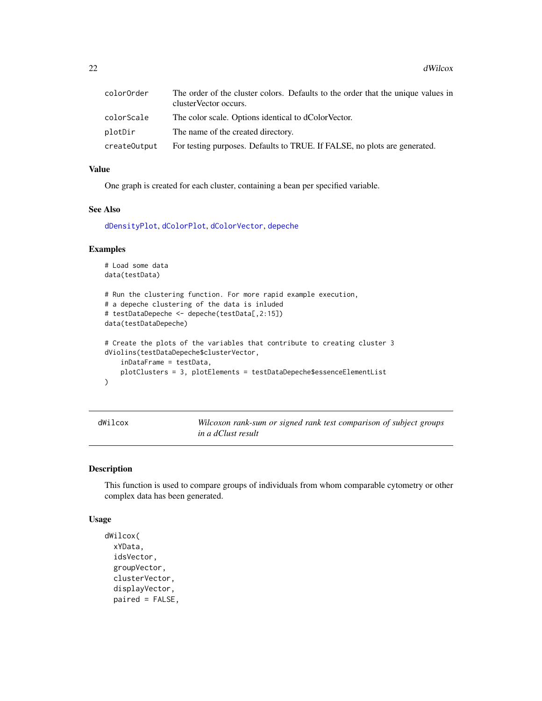<span id="page-21-0"></span>

| colorOrder   | The order of the cluster colors. Defaults to the order that the unique values in<br>cluster Vector occurs. |
|--------------|------------------------------------------------------------------------------------------------------------|
| colorScale   | The color scale. Options identical to dColorVector.                                                        |
| plotDir      | The name of the created directory.                                                                         |
| createOutput | For testing purposes. Defaults to TRUE. If FALSE, no plots are generated.                                  |

One graph is created for each cluster, containing a bean per specified variable.

# See Also

[dDensityPlot](#page-8-1), [dColorPlot](#page-3-1), [dColorVector](#page-6-1), [depeche](#page-10-1)

#### Examples

```
# Load some data
data(testData)
# Run the clustering function. For more rapid example execution,
# a depeche clustering of the data is inluded
# testDataDepeche <- depeche(testData[,2:15])
data(testDataDepeche)
# Create the plots of the variables that contribute to creating cluster 3
dViolins(testDataDepeche$clusterVector,
    inDataFrame = testData,
    plotClusters = 3, plotElements = testDataDepeche$essenceElementList
\mathcal{L}
```
<span id="page-21-1"></span>

Wilcoxon rank-sum or signed rank test comparison of subject groups *in a dClust result*

# Description

This function is used to compare groups of individuals from whom comparable cytometry or other complex data has been generated.

#### Usage

```
dWilcox(
  xYData,
  idsVector,
 groupVector,
 clusterVector,
  displayVector,
  paired = FALSE,
```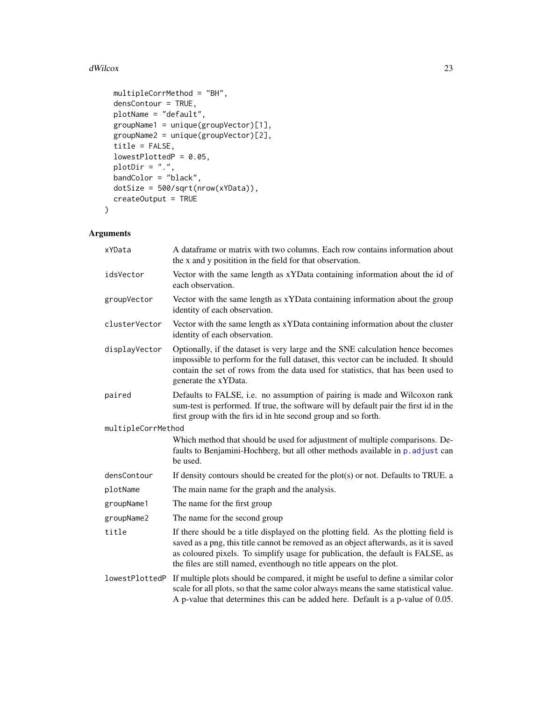#### <span id="page-22-0"></span>dWilcox 23

```
multipleCorrMethod = "BH",
 densContour = TRUE,
 plotName = "default",
 groupName1 = unique(groupVector)[1],
 groupName2 = unique(groupVector)[2],
 title = FALSE,
 lowestPlottedP = 0.05,plotDir = ".",
 bandColor = "black",
 dotSize = 500/sqrt(nrow(xYData)),
 createOutput = TRUE
\mathcal{L}
```

| xYData             | A data frame or matrix with two columns. Each row contains information about<br>the x and y positition in the field for that observation.                                                                                                                                                                                              |
|--------------------|----------------------------------------------------------------------------------------------------------------------------------------------------------------------------------------------------------------------------------------------------------------------------------------------------------------------------------------|
| idsVector          | Vector with the same length as xYData containing information about the id of<br>each observation.                                                                                                                                                                                                                                      |
| groupVector        | Vector with the same length as xYData containing information about the group<br>identity of each observation.                                                                                                                                                                                                                          |
| clusterVector      | Vector with the same length as xYData containing information about the cluster<br>identity of each observation.                                                                                                                                                                                                                        |
| displayVector      | Optionally, if the dataset is very large and the SNE calculation hence becomes<br>impossible to perform for the full dataset, this vector can be included. It should<br>contain the set of rows from the data used for statistics, that has been used to<br>generate the xYData.                                                       |
| paired             | Defaults to FALSE, i.e. no assumption of pairing is made and Wilcoxon rank<br>sum-test is performed. If true, the software will by default pair the first id in the<br>first group with the first id in hte second group and so forth.                                                                                                 |
| multipleCorrMethod |                                                                                                                                                                                                                                                                                                                                        |
|                    | Which method that should be used for adjustment of multiple comparisons. De-<br>faults to Benjamini-Hochberg, but all other methods available in p. adjust can<br>be used.                                                                                                                                                             |
| densContour        | If density contours should be created for the $plot(s)$ or not. Defaults to TRUE. a                                                                                                                                                                                                                                                    |
| plotName           | The main name for the graph and the analysis.                                                                                                                                                                                                                                                                                          |
| groupName1         | The name for the first group                                                                                                                                                                                                                                                                                                           |
| groupName2         | The name for the second group                                                                                                                                                                                                                                                                                                          |
| title              | If there should be a title displayed on the plotting field. As the plotting field is<br>saved as a png, this title cannot be removed as an object afterwards, as it is saved<br>as coloured pixels. To simplify usage for publication, the default is FALSE, as<br>the files are still named, eventhough no title appears on the plot. |
| lowestPlottedP     | If multiple plots should be compared, it might be useful to define a similar color<br>scale for all plots, so that the same color always means the same statistical value.<br>A p-value that determines this can be added here. Default is a p-value of 0.05.                                                                          |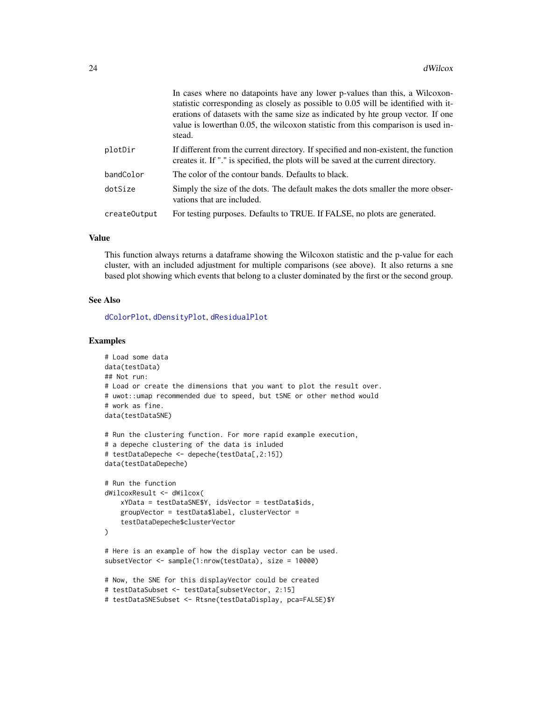<span id="page-23-0"></span>

|              | In cases where no datapoints have any lower p-values than this, a Wilcoxon-<br>statistic corresponding as closely as possible to 0.05 will be identified with it-<br>erations of datasets with the same size as indicated by hte group vector. If one<br>value is lower than 0.05, the wilcoxon statistic from this comparison is used in-<br>stead. |
|--------------|------------------------------------------------------------------------------------------------------------------------------------------------------------------------------------------------------------------------------------------------------------------------------------------------------------------------------------------------------|
| plotDir      | If different from the current directory. If specified and non-existent, the function<br>creates it. If "." is specified, the plots will be saved at the current directory.                                                                                                                                                                           |
| bandColor    | The color of the contour bands. Defaults to black.                                                                                                                                                                                                                                                                                                   |
| dotSize      | Simply the size of the dots. The default makes the dots smaller the more obser-<br>vations that are included.                                                                                                                                                                                                                                        |
| createOutput | For testing purposes. Defaults to TRUE. If FALSE, no plots are generated.                                                                                                                                                                                                                                                                            |
|              |                                                                                                                                                                                                                                                                                                                                                      |

This function always returns a dataframe showing the Wilcoxon statistic and the p-value for each cluster, with an included adjustment for multiple comparisons (see above). It also returns a sne based plot showing which events that belong to a cluster dominated by the first or the second group.

#### See Also

[dColorPlot](#page-3-1), [dDensityPlot](#page-8-1), [dResidualPlot](#page-13-1)

#### Examples

```
# Load some data
data(testData)
## Not run:
# Load or create the dimensions that you want to plot the result over.
# uwot::umap recommended due to speed, but tSNE or other method would
# work as fine.
data(testDataSNE)
# Run the clustering function. For more rapid example execution,
# a depeche clustering of the data is inluded
# testDataDepeche <- depeche(testData[,2:15])
data(testDataDepeche)
# Run the function
dWilcoxResult <- dWilcox(
    xYData = testDataSNE$Y, idsVector = testData$ids,
    groupVector = testData$label, clusterVector =
    testDataDepeche$clusterVector
\mathcal{L}# Here is an example of how the display vector can be used.
subsetVector <- sample(1:nrow(testData), size = 10000)
# Now, the SNE for this displayVector could be created
# testDataSubset <- testData[subsetVector, 2:15]
# testDataSNESubset <- Rtsne(testDataDisplay, pca=FALSE)$Y
```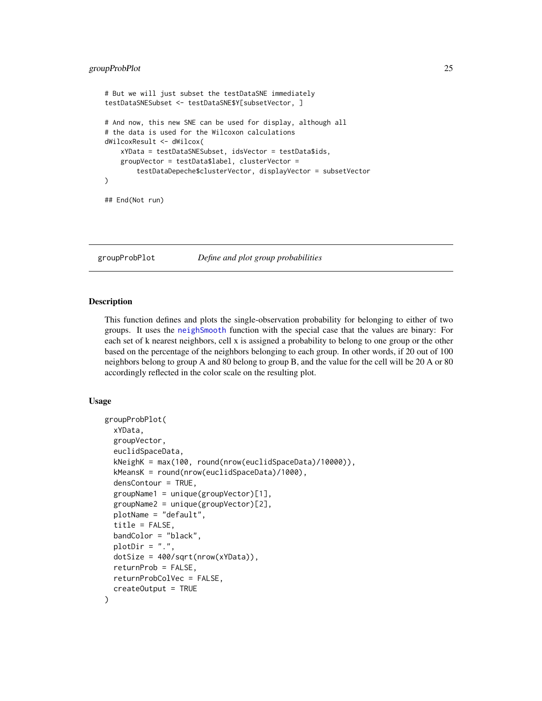# <span id="page-24-0"></span>groupProbPlot 25

```
# But we will just subset the testDataSNE immediately
testDataSNESubset <- testDataSNE$Y[subsetVector, ]
# And now, this new SNE can be used for display, although all
# the data is used for the Wilcoxon calculations
dWilcoxResult <- dWilcox(
   xYData = testDataSNESubset, idsVector = testData$ids,
   groupVector = testData$label, clusterVector =
        testDataDepeche$clusterVector, displayVector = subsetVector
\mathcal{L}## End(Not run)
```
groupProbPlot *Define and plot group probabilities*

#### Description

This function defines and plots the single-observation probability for belonging to either of two groups. It uses the [neighSmooth](#page-26-1) function with the special case that the values are binary: For each set of k nearest neighbors, cell x is assigned a probability to belong to one group or the other based on the percentage of the neighbors belonging to each group. In other words, if 20 out of 100 neighbors belong to group A and 80 belong to group B, and the value for the cell will be 20 A or 80 accordingly reflected in the color scale on the resulting plot.

#### Usage

```
groupProbPlot(
  xYData,
  groupVector,
  euclidSpaceData,
  kNeighK = max(100, round(nrow(euclidSpaceData)/10000)),
  kMeansK = round(nrow(euclidSpaceData)/1000),
  densContour = TRUE,
  groupName1 = unique(groupVector)[1],
  groupName2 = unique(groupVector)[2],plotName = "default",
  title = FALSE,
 bandColor = "black",
 plotDir = "."dotSize = 400/sqrt(nrow(xYData)),
  returnProb = FALSE,
  returnProbColVec = FALSE,
  createOutput = TRUE
)
```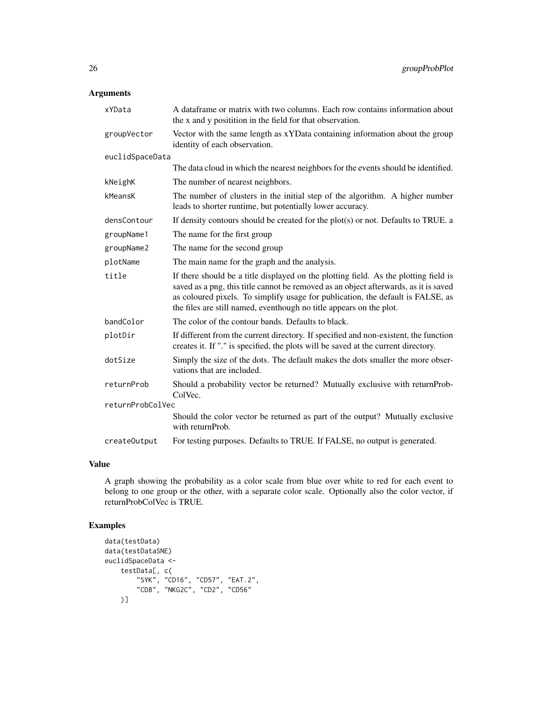# Arguments

| xYData           | A dataframe or matrix with two columns. Each row contains information about<br>the x and y positition in the field for that observation.                                                                                                                                                                                               |
|------------------|----------------------------------------------------------------------------------------------------------------------------------------------------------------------------------------------------------------------------------------------------------------------------------------------------------------------------------------|
| groupVector      | Vector with the same length as xYData containing information about the group<br>identity of each observation.                                                                                                                                                                                                                          |
| euclidSpaceData  |                                                                                                                                                                                                                                                                                                                                        |
|                  | The data cloud in which the nearest neighbors for the events should be identified.                                                                                                                                                                                                                                                     |
| kNeighK          | The number of nearest neighbors.                                                                                                                                                                                                                                                                                                       |
| kMeansK          | The number of clusters in the initial step of the algorithm. A higher number<br>leads to shorter runtime, but potentially lower accuracy.                                                                                                                                                                                              |
| densContour      | If density contours should be created for the $plot(s)$ or not. Defaults to TRUE. a                                                                                                                                                                                                                                                    |
| groupName1       | The name for the first group                                                                                                                                                                                                                                                                                                           |
| groupName2       | The name for the second group                                                                                                                                                                                                                                                                                                          |
| plotName         | The main name for the graph and the analysis.                                                                                                                                                                                                                                                                                          |
| title            | If there should be a title displayed on the plotting field. As the plotting field is<br>saved as a png, this title cannot be removed as an object afterwards, as it is saved<br>as coloured pixels. To simplify usage for publication, the default is FALSE, as<br>the files are still named, eventhough no title appears on the plot. |
| bandColor        | The color of the contour bands. Defaults to black.                                                                                                                                                                                                                                                                                     |
| plotDir          | If different from the current directory. If specified and non-existent, the function<br>creates it. If "." is specified, the plots will be saved at the current directory.                                                                                                                                                             |
| dotSize          | Simply the size of the dots. The default makes the dots smaller the more obser-<br>vations that are included.                                                                                                                                                                                                                          |
| returnProb       | Should a probability vector be returned? Mutually exclusive with returnProb-<br>ColVec.                                                                                                                                                                                                                                                |
| returnProbColVec |                                                                                                                                                                                                                                                                                                                                        |
|                  | Should the color vector be returned as part of the output? Mutually exclusive<br>with returnProb.                                                                                                                                                                                                                                      |
| createOutput     | For testing purposes. Defaults to TRUE. If FALSE, no output is generated.                                                                                                                                                                                                                                                              |

# Value

A graph showing the probability as a color scale from blue over white to red for each event to belong to one group or the other, with a separate color scale. Optionally also the color vector, if returnProbColVec is TRUE.

# Examples

```
data(testData)
data(testDataSNE)
euclidSpaceData <-
    testData[, c(
        "SYK", "CD16", "CD57", "EAT.2",
        "CD8", "NKG2C", "CD2", "CD56"
   )]
```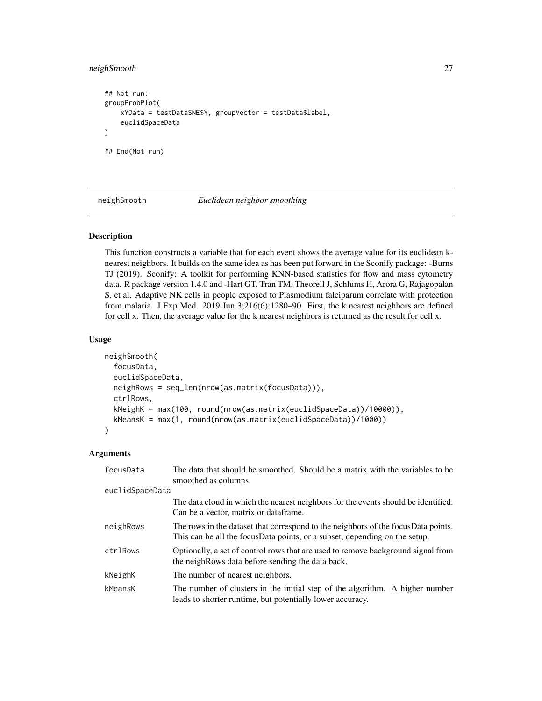# <span id="page-26-0"></span>neighSmooth 27

```
## Not run:
groupProbPlot(
   xYData = testDataSNE$Y, groupVector = testData$label,
    euclidSpaceData
)
## End(Not run)
```
<span id="page-26-1"></span>neighSmooth *Euclidean neighbor smoothing*

#### Description

This function constructs a variable that for each event shows the average value for its euclidean knearest neighbors. It builds on the same idea as has been put forward in the Sconify package: -Burns TJ (2019). Sconify: A toolkit for performing KNN-based statistics for flow and mass cytometry data. R package version 1.4.0 and -Hart GT, Tran TM, Theorell J, Schlums H, Arora G, Rajagopalan S, et al. Adaptive NK cells in people exposed to Plasmodium falciparum correlate with protection from malaria. J Exp Med. 2019 Jun 3;216(6):1280–90. First, the k nearest neighbors are defined for cell x. Then, the average value for the k nearest neighbors is returned as the result for cell x.

# Usage

```
neighSmooth(
  focusData,
  euclidSpaceData,
  neighRows = seq_len(nrow(as.matrix(focusData))),
  ctrlRows,
  kNeighK = max(100, round(nrow(as.matrix(euclidSpaceData))/10000)),
 kMeansK = max(1, round(nrow(as.matrix(euclidSpaceData))/1000))
\lambda
```

| focusData       | The data that should be smoothed. Should be a matrix with the variables to be<br>smoothed as columns.                                                            |
|-----------------|------------------------------------------------------------------------------------------------------------------------------------------------------------------|
| euclidSpaceData |                                                                                                                                                                  |
|                 | The data cloud in which the nearest neighbors for the events should be identified.<br>Can be a vector, matrix or dataframe.                                      |
| neighRows       | The rows in the dataset that correspond to the neighbors of the focus Data points.<br>This can be all the focusData points, or a subset, depending on the setup. |
| ctrlRows        | Optionally, a set of control rows that are used to remove background signal from<br>the neigh Rows data before sending the data back.                            |
| kNeighK         | The number of nearest neighbors.                                                                                                                                 |
| kMeansK         | The number of clusters in the initial step of the algorithm. A higher number<br>leads to shorter runtime, but potentially lower accuracy.                        |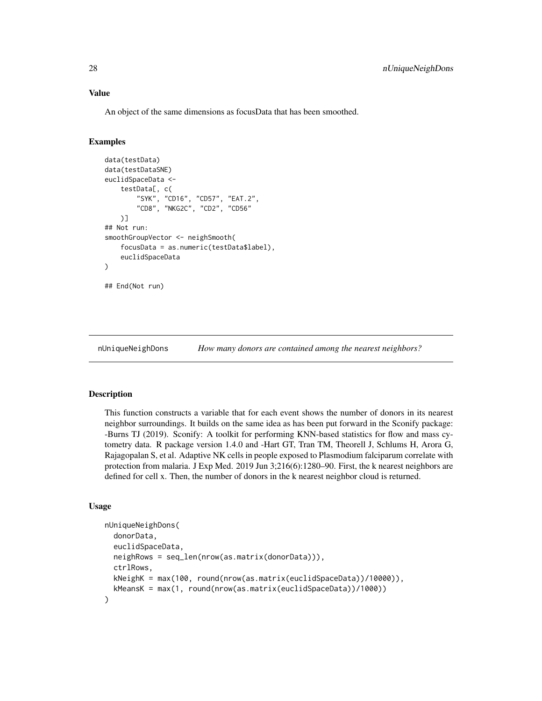An object of the same dimensions as focusData that has been smoothed.

#### Examples

```
data(testData)
data(testDataSNE)
euclidSpaceData <-
    testData[, c(
        "SYK", "CD16", "CD57", "EAT.2",
        "CD8", "NKG2C", "CD2", "CD56"
    )]
## Not run:
smoothGroupVector <- neighSmooth(
    focusData = as.numeric(testData$label),
    euclidSpaceData
\lambda## End(Not run)
```
nUniqueNeighDons *How many donors are contained among the nearest neighbors?*

# Description

This function constructs a variable that for each event shows the number of donors in its nearest neighbor surroundings. It builds on the same idea as has been put forward in the Sconify package: -Burns TJ (2019). Sconify: A toolkit for performing KNN-based statistics for flow and mass cytometry data. R package version 1.4.0 and -Hart GT, Tran TM, Theorell J, Schlums H, Arora G, Rajagopalan S, et al. Adaptive NK cells in people exposed to Plasmodium falciparum correlate with protection from malaria. J Exp Med. 2019 Jun 3;216(6):1280–90. First, the k nearest neighbors are defined for cell x. Then, the number of donors in the k nearest neighbor cloud is returned.

#### Usage

```
nUniqueNeighDons(
  donorData,
  euclidSpaceData,
  neighRows = seq_len(nrow(as.matrix(donorData))),
  ctrlRows,
  kNeighK = max(100, round(nrow(as.matrix(euclidSpaceData))/10000)),
  kMeansK = max(1, round(nrow(as.matrix(euclidSpaceData))/1000))
)
```
<span id="page-27-0"></span>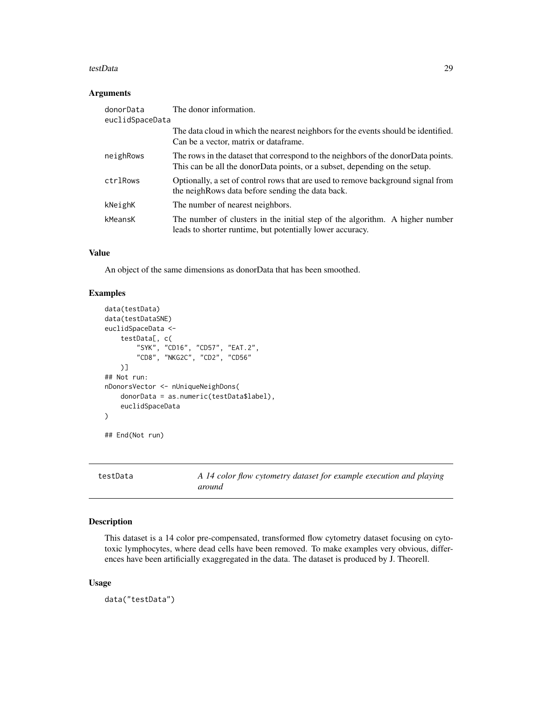#### <span id="page-28-0"></span>testData 29

# Arguments

| donorData<br>euclidSpaceData | The donor information.                                                                                                                                          |
|------------------------------|-----------------------------------------------------------------------------------------------------------------------------------------------------------------|
|                              | The data cloud in which the nearest neighbors for the events should be identified.<br>Can be a vector, matrix or dataframe.                                     |
| neighRows                    | The rows in the dataset that correspond to the neighbors of the donorData points.<br>This can be all the donorData points, or a subset, depending on the setup. |
| ctrlRows                     | Optionally, a set of control rows that are used to remove background signal from<br>the neigh Rows data before sending the data back.                           |
| kNeighK                      | The number of nearest neighbors.                                                                                                                                |
| kMeansK                      | The number of clusters in the initial step of the algorithm. A higher number<br>leads to shorter runtime, but potentially lower accuracy.                       |

# Value

An object of the same dimensions as donorData that has been smoothed.

# Examples

```
data(testData)
data(testDataSNE)
euclidSpaceData <-
   testData[, c(
        "SYK", "CD16", "CD57", "EAT.2",
        "CD8", "NKG2C", "CD2", "CD56"
   )]
## Not run:
nDonorsVector <- nUniqueNeighDons(
    donorData = as.numeric(testData$label),
    euclidSpaceData
)
## End(Not run)
```
testData *A 14 color flow cytometry dataset for example execution and playing around*

# Description

This dataset is a 14 color pre-compensated, transformed flow cytometry dataset focusing on cytotoxic lymphocytes, where dead cells have been removed. To make examples very obvious, differences have been artificially exaggregated in the data. The dataset is produced by J. Theorell.

#### Usage

data("testData")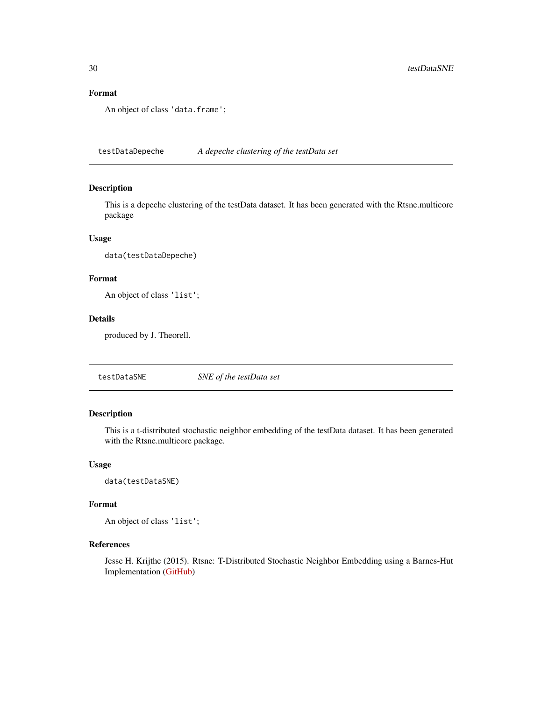# Format

An object of class 'data.frame';

testDataDepeche *A depeche clustering of the testData set*

#### Description

This is a depeche clustering of the testData dataset. It has been generated with the Rtsne.multicore package

# Usage

data(testDataDepeche)

# Format

An object of class 'list';

# Details

produced by J. Theorell.

testDataSNE *SNE of the testData set*

# Description

This is a t-distributed stochastic neighbor embedding of the testData dataset. It has been generated with the Rtsne.multicore package.

#### Usage

data(testDataSNE)

#### Format

An object of class 'list';

# References

Jesse H. Krijthe (2015). Rtsne: T-Distributed Stochastic Neighbor Embedding using a Barnes-Hut Implementation [\(GitHub\)](https://github.com/RGLab/Rtsne.multicore/issues/5)

<span id="page-29-0"></span>